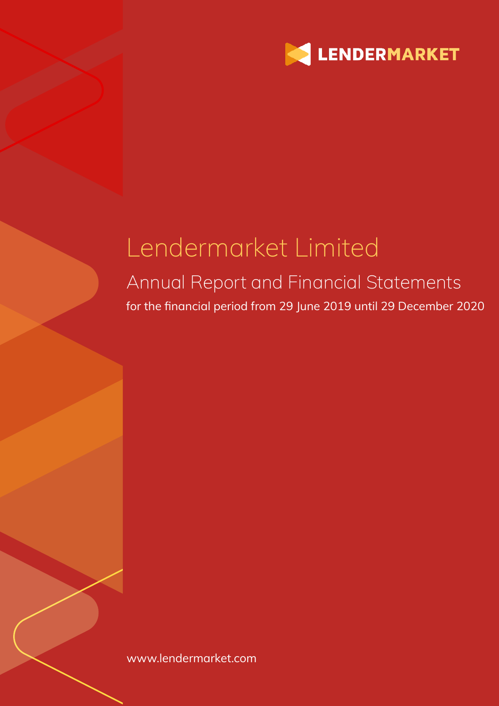

# Lendermarket Limited

## Annual Report and Financial Statements for the financial period from 29 June 2019 until 29 December 2020

www.lendermarket.com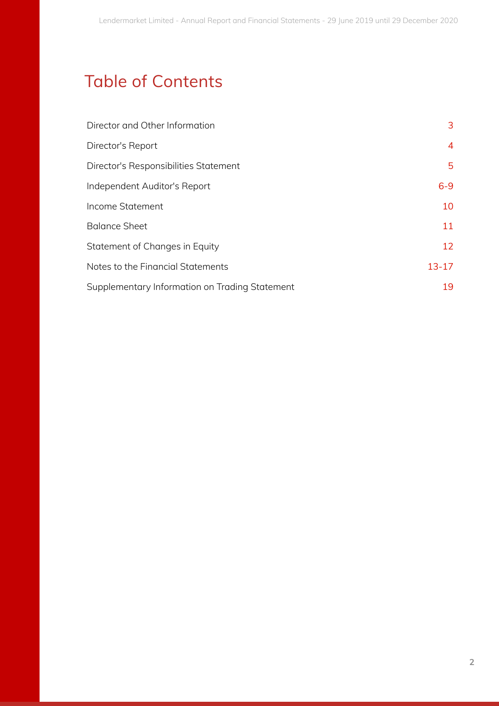## Table of Contents

| Director and Other Information                 | 3              |
|------------------------------------------------|----------------|
| Director's Report                              | $\overline{4}$ |
| Director's Responsibilities Statement          | 5              |
| Independent Auditor's Report                   | $6 - 9$        |
| Income Statement                               | 10             |
| <b>Balance Sheet</b>                           | 11             |
| Statement of Changes in Equity                 | 12             |
| Notes to the Financial Statements              | $13 - 17$      |
| Supplementary Information on Trading Statement | 19             |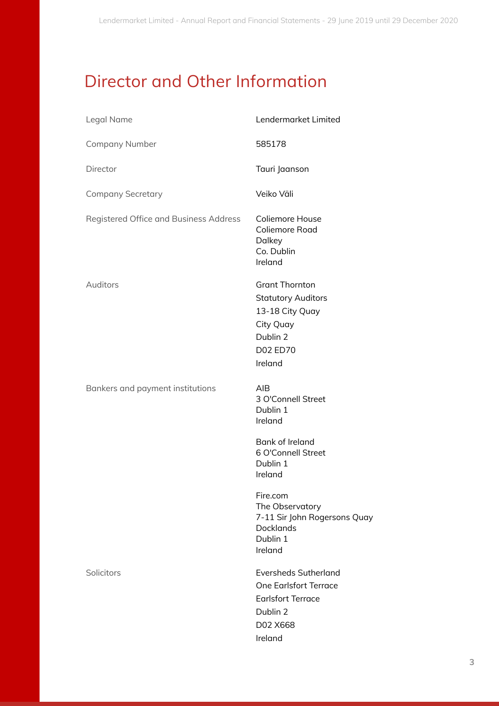## Director and Other Information

| Legal Name                             | Lendermarket Limited                                                                                                       |
|----------------------------------------|----------------------------------------------------------------------------------------------------------------------------|
| <b>Company Number</b>                  | 585178                                                                                                                     |
| Director                               | Tauri Jaanson                                                                                                              |
| <b>Company Secretary</b>               | Veiko Väli                                                                                                                 |
| Registered Office and Business Address | Coliemore House<br>Coliemore Road<br>Dalkey<br>Co. Dublin<br>Ireland                                                       |
| Auditors                               | <b>Grant Thornton</b><br><b>Statutory Auditors</b><br>13-18 City Quay<br>City Quay<br>Dublin 2<br>D02 ED70<br>Ireland      |
| Bankers and payment institutions       | <b>AIB</b><br>3 O'Connell Street<br>Dublin 1<br>Ireland                                                                    |
|                                        | Bank of Ireland<br>6 O'Connell Street<br>Dublin 1<br>Ireland                                                               |
|                                        | Fire.com<br>The Observatory<br>7-11 Sir John Rogersons Quay<br><b>Docklands</b><br>Dublin 1<br>Ireland                     |
| Solicitors                             | <b>Eversheds Sutherland</b><br><b>One Earlsfort Terrace</b><br><b>Earlsfort Terrace</b><br>Dublin 2<br>D02 X668<br>Ireland |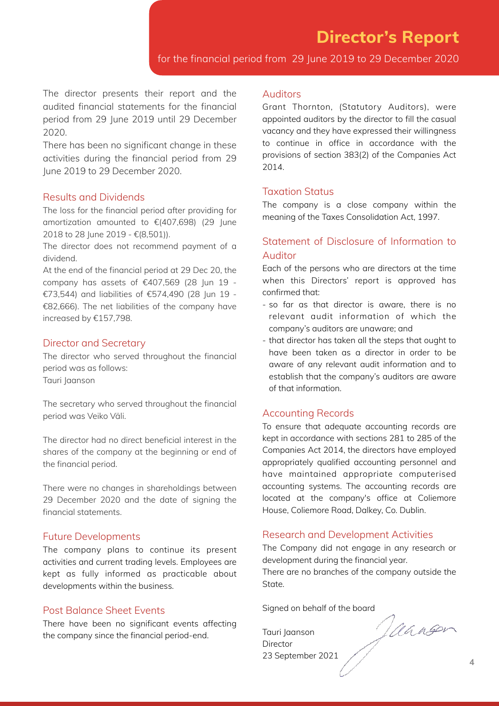for the financial period from 29 June 2019 to 29 December 2020

The director presents their report and the audited financial statements for the financial period from 29 June 2019 until 29 December 2020.

There has been no significant change in these activities during the financial period from 29 June 2019 to 29 December 2020.

#### Results and Dividends

The loss for the financial period after providing for amortization amounted to €(407,698) (29 June 2018 to 28 June 2019 - €(8,501)).

The director does not recommend payment of a dividend.

At the end of the financial period at 29 Dec 20, the company has assets of €407,569 (28 Jun 19 - €73,544) and liabilities of €574,490 (28 Jun 19 - €82,666). The net liabilities of the company have increased by €157,798.

### Director and Secretary

The director who served throughout the financial period was as follows: Tauri Jaanson

The secretary who served throughout the financial period was Veiko Väli.

The director had no direct beneficial interest in the shares of the company at the beginning or end of the financial period.

There were no changes in shareholdings between 29 December 2020 and the date of signing the financial statements.

#### Future Developments

The company plans to continue its present activities and current trading levels. Employees are kept as fully informed as practicable about developments within the business.

### Post Balance Sheet Events

There have been no significant events affecting the company since the financial period-end.

#### Auditors

Grant Thornton, (Statutory Auditors), were appointed auditors by the director to fill the casual vacancy and they have expressed their willingness to continue in office in accordance with the provisions of section 383(2) of the Companies Act 2014.

#### Taxation Status

The company is a close company within the meaning of the Taxes Consolidation Act, 1997.

### Statement of Disclosure of Information to Auditor

Each of the persons who are directors at the time when this Directors' report is approved has confirmed that:

- so far as that director is aware, there is no relevant audit information of which the company's auditors are unaware; and
- that director has taken all the steps that ought to have been taken as a director in order to be aware of any relevant audit information and to establish that the company's auditors are aware of that information.

#### Accounting Records

To ensure that adequate accounting records are kept in accordance with sections 281 to 285 of the Companies Act 2014, the directors have employed appropriately qualified accounting personnel and have maintained appropriate computerised accounting systems. The accounting records are located at the company's office at Coliemore House, Coliemore Road, Dalkey, Co. Dublin.

#### Research and Development Activities

The Company did not engage in any research or development during the financial year.

There are no branches of the company outside the State.

Tauri Jaanson **Director** 23 September 2021

Signed on behalf of the board<br>Tauri Jaanson<br>Director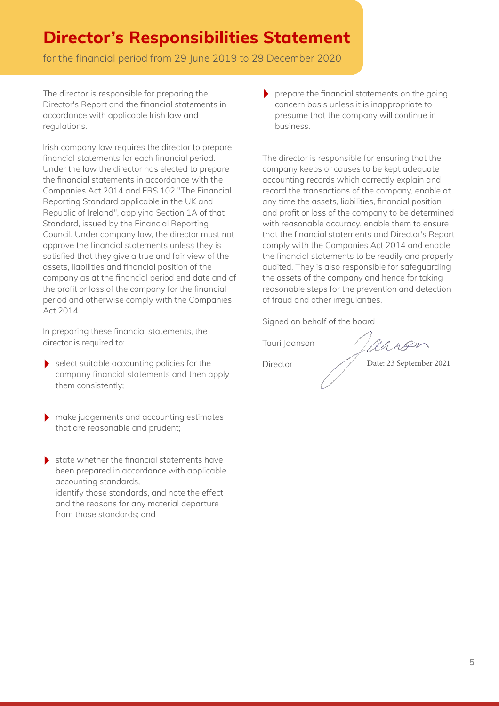## **Director's Responsibilities Statement**

for the financial period from 29 June 2019 to 29 December 2020

The director is responsible for preparing the Director's Report and the financial statements in accordance with applicable Irish law and regulations.

Irish company law requires the director to prepare financial statements for each financial period. Under the law the director has elected to prepare the financial statements in accordance with the Companies Act 2014 and FRS 102 "The Financial Reporting Standard applicable in the UK and Republic of Ireland", applying Section 1A of that Standard, issued by the Financial Reporting Council. Under company law, the director must not approve the financial statements unless they is satisfied that they give a true and fair view of the assets, liabilities and financial position of the company as at the financial period end date and of the profit or loss of the company for the financial period and otherwise comply with the Companies Act 2014.

In preparing these financial statements, the director is required to:

- ‣ select suitable accounting policies for the company financial statements and then apply them consistently;
- ‣ make judgements and accounting estimates that are reasonable and prudent;
- $\blacktriangleright$  state whether the financial statements have been prepared in accordance with applicable accounting standards, identify those standards, and note the effect and the reasons for any material departure from those standards; and

‣ prepare the financial statements on the going concern basis unless it is inappropriate to presume that the company will continue in business.

The director is responsible for ensuring that the company keeps or causes to be kept adequate accounting records which correctly explain and record the transactions of the company, enable at any time the assets, liabilities, financial position and profit or loss of the company to be determined with reasonable accuracy, enable them to ensure that the financial statements and Director's Report comply with the Companies Act 2014 and enable the financial statements to be readily and properly audited. They is also responsible for safeguarding the assets of the company and hence for taking reasonable steps for the prevention and detection of fraud and other irregularities.

Signed on behalf of the board

Tauri Jaanson

Director

Manson

Date: 23 September 2021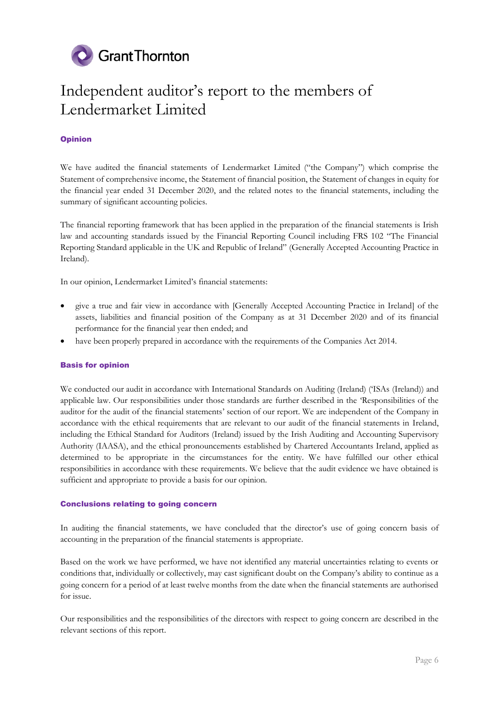

## Independent auditor's report to the members of Lendermarket Limited

#### **Opinion**

We have audited the financial statements of Lendermarket Limited ("the Company") which comprise the Statement of comprehensive income, the Statement of financial position, the Statement of changes in equity for the financial year ended 31 December 2020, and the related notes to the financial statements, including the summary of significant accounting policies.

The financial reporting framework that has been applied in the preparation of the financial statements is Irish law and accounting standards issued by the Financial Reporting Council including FRS 102 "The Financial Reporting Standard applicable in the UK and Republic of Ireland" (Generally Accepted Accounting Practice in Ireland).

In our opinion, Lendermarket Limited's financial statements:

- give a true and fair view in accordance with [Generally Accepted Accounting Practice in Ireland] of the assets, liabilities and financial position of the Company as at 31 December 2020 and of its financial performance for the financial year then ended; and
- have been properly prepared in accordance with the requirements of the Companies Act 2014.

#### Basis for opinion

We conducted our audit in accordance with International Standards on Auditing (Ireland) ('ISAs (Ireland)) and applicable law. Our responsibilities under those standards are further described in the 'Responsibilities of the auditor for the audit of the financial statements' section of our report. We are independent of the Company in accordance with the ethical requirements that are relevant to our audit of the financial statements in Ireland, including the Ethical Standard for Auditors (Ireland) issued by the Irish Auditing and Accounting Supervisory Authority (IAASA), and the ethical pronouncements established by Chartered Accountants Ireland, applied as determined to be appropriate in the circumstances for the entity. We have fulfilled our other ethical responsibilities in accordance with these requirements. We believe that the audit evidence we have obtained is sufficient and appropriate to provide a basis for our opinion.

#### Conclusions relating to going concern

In auditing the financial statements, we have concluded that the director's use of going concern basis of accounting in the preparation of the financial statements is appropriate.

Based on the work we have performed, we have not identified any material uncertainties relating to events or conditions that, individually or collectively, may cast significant doubt on the Company's ability to continue as a going concern for a period of at least twelve months from the date when the financial statements are authorised for issue.

Our responsibilities and the responsibilities of the directors with respect to going concern are described in the relevant sections of this report.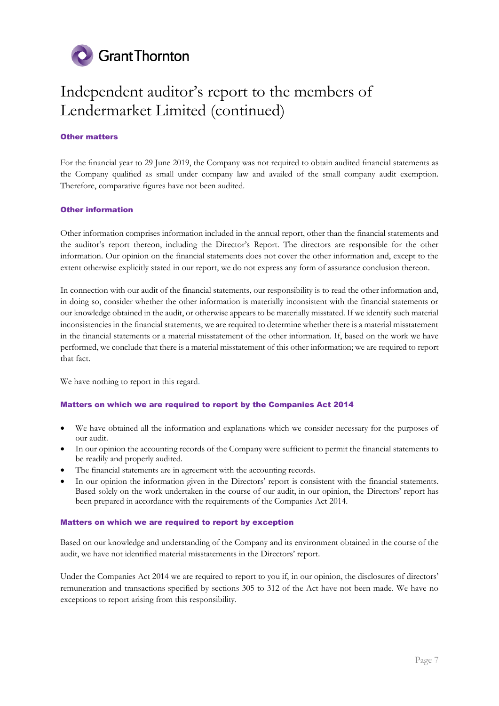

## Independent auditor's report to the members of Lendermarket Limited (continued)

#### Other matters

For the financial year to 29 June 2019, the Company was not required to obtain audited financial statements as the Company qualified as small under company law and availed of the small company audit exemption. Therefore, comparative figures have not been audited.

#### Other information

Other information comprises information included in the annual report, other than the financial statements and the auditor's report thereon, including the Director's Report. The directors are responsible for the other information. Our opinion on the financial statements does not cover the other information and, except to the extent otherwise explicitly stated in our report, we do not express any form of assurance conclusion thereon.

In connection with our audit of the financial statements, our responsibility is to read the other information and, in doing so, consider whether the other information is materially inconsistent with the financial statements or our knowledge obtained in the audit, or otherwise appears to be materially misstated. If we identify such material inconsistencies in the financial statements, we are required to determine whether there is a material misstatement in the financial statements or a material misstatement of the other information. If, based on the work we have performed, we conclude that there is a material misstatement of this other information; we are required to report that fact.

We have nothing to report in this regard.

#### Matters on which we are required to report by the Companies Act 2014

- We have obtained all the information and explanations which we consider necessary for the purposes of our audit.
- In our opinion the accounting records of the Company were sufficient to permit the financial statements to be readily and properly audited.
- The financial statements are in agreement with the accounting records.
- In our opinion the information given in the Directors' report is consistent with the financial statements. Based solely on the work undertaken in the course of our audit, in our opinion, the Directors' report has been prepared in accordance with the requirements of the Companies Act 2014.

#### Matters on which we are required to report by exception

Based on our knowledge and understanding of the Company and its environment obtained in the course of the audit, we have not identified material misstatements in the Directors' report.

Under the Companies Act 2014 we are required to report to you if, in our opinion, the disclosures of directors' remuneration and transactions specified by sections 305 to 312 of the Act have not been made. We have no exceptions to report arising from this responsibility.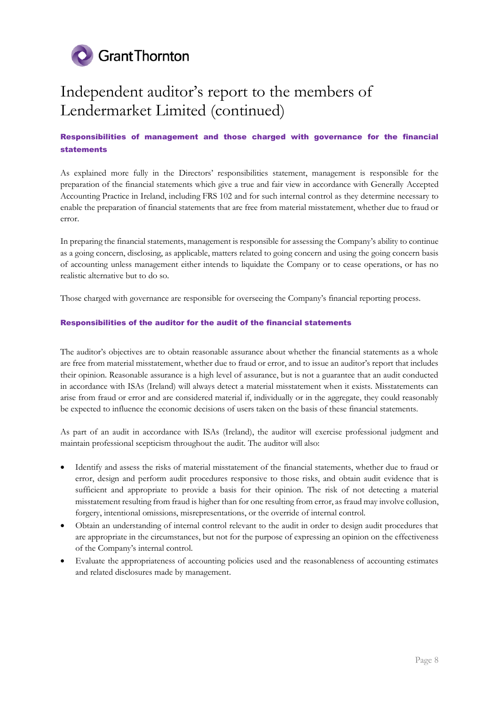

## Independent auditor's report to the members of Lendermarket Limited (continued)

#### Responsibilities of management and those charged with governance for the financial statements

As explained more fully in the Directors' responsibilities statement, management is responsible for the preparation of the financial statements which give a true and fair view in accordance with Generally Accepted Accounting Practice in Ireland, including FRS 102 and for such internal control as they determine necessary to enable the preparation of financial statements that are free from material misstatement, whether due to fraud or error.

In preparing the financial statements, management is responsible for assessing the Company's ability to continue as a going concern, disclosing, as applicable, matters related to going concern and using the going concern basis of accounting unless management either intends to liquidate the Company or to cease operations, or has no realistic alternative but to do so.

Those charged with governance are responsible for overseeing the Company's financial reporting process.

#### Responsibilities of the auditor for the audit of the financial statements

The auditor's objectives are to obtain reasonable assurance about whether the financial statements as a whole are free from material misstatement, whether due to fraud or error, and to issue an auditor's report that includes their opinion. Reasonable assurance is a high level of assurance, but is not a guarantee that an audit conducted in accordance with ISAs (Ireland) will always detect a material misstatement when it exists. Misstatements can arise from fraud or error and are considered material if, individually or in the aggregate, they could reasonably be expected to influence the economic decisions of users taken on the basis of these financial statements.

As part of an audit in accordance with ISAs (Ireland), the auditor will exercise professional judgment and maintain professional scepticism throughout the audit. The auditor will also:

- Identify and assess the risks of material misstatement of the financial statements, whether due to fraud or error, design and perform audit procedures responsive to those risks, and obtain audit evidence that is sufficient and appropriate to provide a basis for their opinion. The risk of not detecting a material misstatement resulting from fraud is higher than for one resulting from error, as fraud may involve collusion, forgery, intentional omissions, misrepresentations, or the override of internal control.
- Obtain an understanding of internal control relevant to the audit in order to design audit procedures that are appropriate in the circumstances, but not for the purpose of expressing an opinion on the effectiveness of the Company's internal control.
- Evaluate the appropriateness of accounting policies used and the reasonableness of accounting estimates and related disclosures made by management.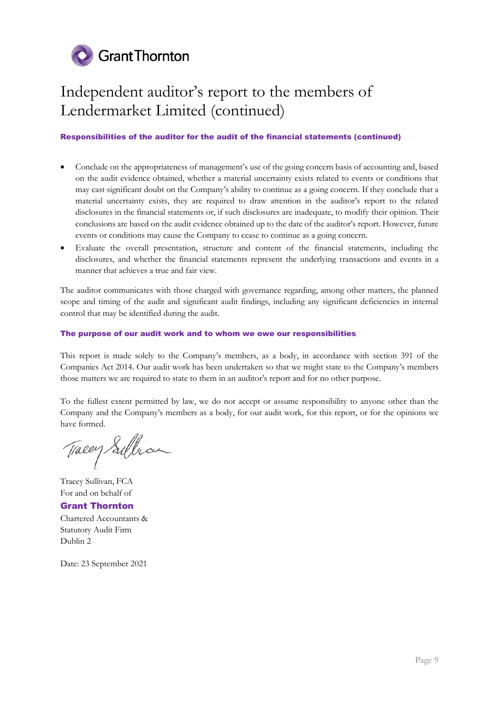

## Independent auditor's report to the members of Lendermarket Limited (continued)

#### Responsibilities of the auditor for the audit of the financial statements (continued)

- Conclude on the appropriateness of management's use of the going concern basis of accounting and, based on the audit evidence obtained, whether a material uncertainty exists related to events or conditions that may cast significant doubt on the Company's ability to continue as a going concern. If they conclude that a material uncertainty exists, they are required to draw attention in the auditor's report to the related disclosures in the financial statements or, if such disclosures are inadequate, to modify their opinion. Their conclusions are based on the audit evidence obtained up to the date of the auditor's report. However, future events or conditions may cause the Company to cease to continue as a going concern.
- Evaluate the overall presentation, structure and content of the financial statements, including the disclosures, and whether the financial statements represent the underlying transactions and events in a manner that achieves a true and fair view.

The auditor communicates with those charged with governance regarding, among other matters, the planned scope and timing of the audit and significant audit findings, including any significant deficiencies in internal control that may be identified during the audit.

#### The purpose of our audit work and to whom we owe our responsibilities

This report is made solely to the Company's members, as a body, in accordance with section 391 of the Companies Act 2014. Our audit work has been undertaken so that we might state to the Company's members those matters we are required to state to them in an auditor's report and for no other purpose.

To the fullest extent permitted by law, we do not accept or assume responsibility to anyone other than the Company and the Company's members as a body, for our audit work, for this report, or for the opinions we have formed.

Tracey Sullian

Tracey Sullivan, FCA For and on behalf of

Grant Thornton Chartered Accountants & Statutory Audit Firm Dublin 2

Date: 23 September 2021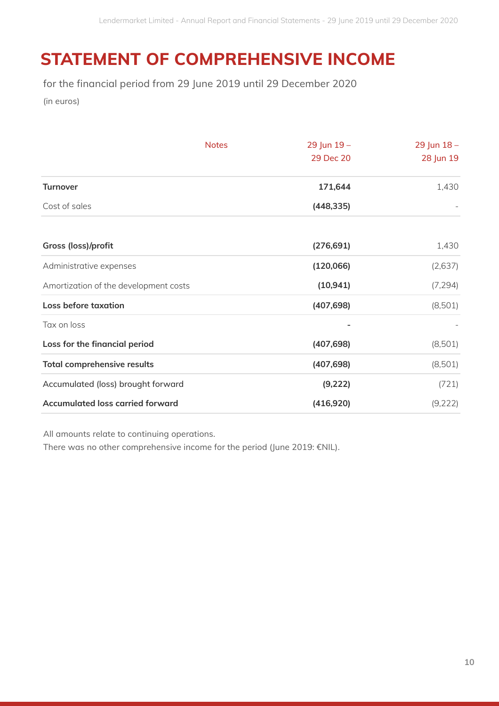## **STATEMENT OF COMPREHENSIVE INCOME**

for the financial period from 29 June 2019 until 29 December 2020

(in euros)

|                                         | <b>Notes</b> | 29 Jun 19- | 29 Jun 18- |
|-----------------------------------------|--------------|------------|------------|
|                                         |              | 29 Dec 20  | 28 Jun 19  |
| <b>Turnover</b>                         |              | 171,644    | 1,430      |
| Cost of sales                           |              | (448, 335) |            |
|                                         |              |            |            |
| Gross (loss)/profit                     |              | (276, 691) | 1,430      |
| Administrative expenses                 |              | (120,066)  | (2,637)    |
| Amortization of the development costs   |              | (10, 941)  | (7, 294)   |
| <b>Loss before taxation</b>             |              | (407, 698) | (8,501)    |
| Tax on loss                             |              |            |            |
| Loss for the financial period           |              | (407, 698) | (8,501)    |
| <b>Total comprehensive results</b>      |              | (407, 698) | (8,501)    |
| Accumulated (loss) brought forward      |              | (9, 222)   | (721)      |
| <b>Accumulated loss carried forward</b> |              | (416,920)  | (9, 222)   |

All amounts relate to continuing operations.

There was no other comprehensive income for the period (June 2019: €NIL).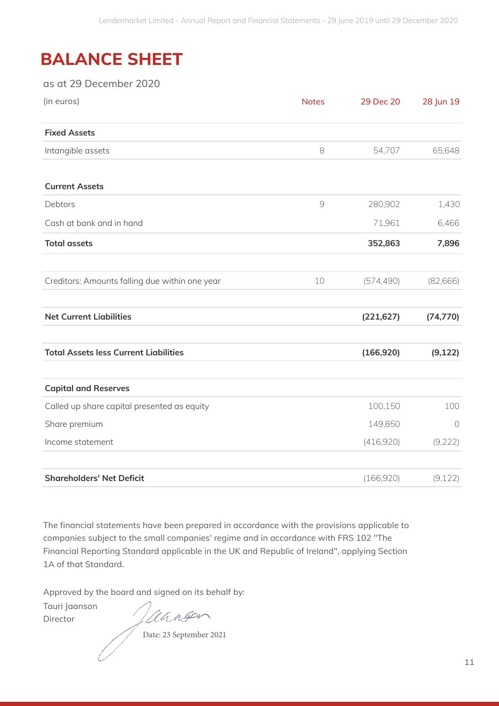## **BALANCE SHEET**

### as at 29 December 2020

| (in euros)                                     | <b>Notes</b> | 29 Dec 20  | 28 Jun 19  |
|------------------------------------------------|--------------|------------|------------|
| <b>Fixed Assets</b>                            |              |            |            |
| Intangible assets                              | 8            | 54,707     | 65,648     |
| <b>Current Assets</b>                          |              |            |            |
| Debtors                                        | $\Theta$     | 280,902    | 1,430      |
| Cash at bank and in hand                       |              | 71,961     | 6,466      |
| <b>Total assets</b>                            |              | 352,863    | 7,896      |
| Creditors: Amounts falling due within one year | 10           | (574, 490) | (82,666)   |
| <b>Net Current Liabilities</b>                 |              | (221, 627) | (74, 770)  |
| <b>Total Assets less Current Liabilities</b>   |              | (166, 920) | (9, 122)   |
| <b>Capital and Reserves</b>                    |              |            |            |
| Called up share capital presented as equity    |              | 100,150    | 100        |
| Share premium                                  |              | 149,850    | $\bigcirc$ |
| Income statement                               |              | (416,920)  | (9, 222)   |
| <b>Shareholders' Net Deficit</b>               |              | (166, 920) | (9, 122)   |

The financial statements have been prepared in accordance with the provisions applicable to companies subject to the small companies' regime and in accordance with FRS 102 "The Financial Reporting Standard applicable in the UK and Republic of Ireland", applying Section 1A of that Standard.

Approved by the board and signed on its behalf by:

Tauri Jaanson Director

Jaanson

Date: 23 September 2021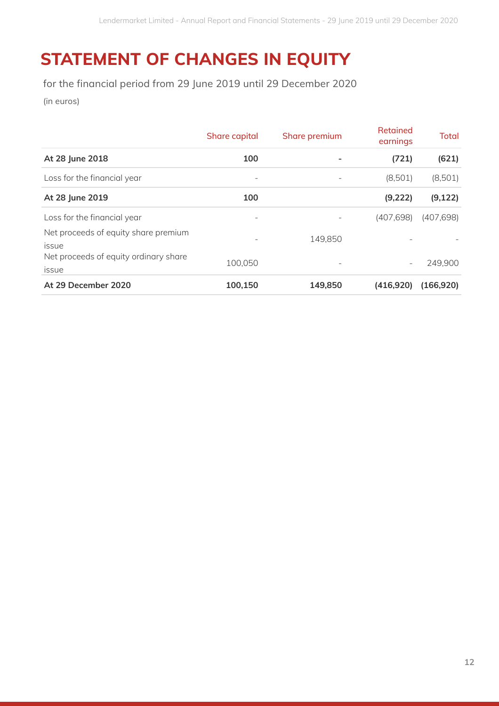## **STATEMENT OF CHANGES IN EQUITY**

for the financial period from 29 June 2019 until 29 December 2020

(in euros)

|                                                | Share capital            | Share premium            | Retained<br>earnings     | Total      |
|------------------------------------------------|--------------------------|--------------------------|--------------------------|------------|
| At 28 June 2018                                | 100                      |                          | (721)                    | (621)      |
| Loss for the financial year                    | $\overline{\phantom{m}}$ | $\qquad \qquad -$        | (8,501)                  | (8,501)    |
| At 28 June 2019                                | 100                      |                          | (9, 222)                 | (9, 122)   |
| Loss for the financial year                    |                          |                          | (407, 698)               | (407, 698) |
| Net proceeds of equity share premium<br>issue  |                          | 149,850                  |                          |            |
| Net proceeds of equity ordinary share<br>issue | 100,050                  | $\overline{\phantom{a}}$ | $\overline{\phantom{a}}$ | 249,900    |
| At 29 December 2020                            | 100,150                  | 149,850                  | (416, 920)               | (166, 920) |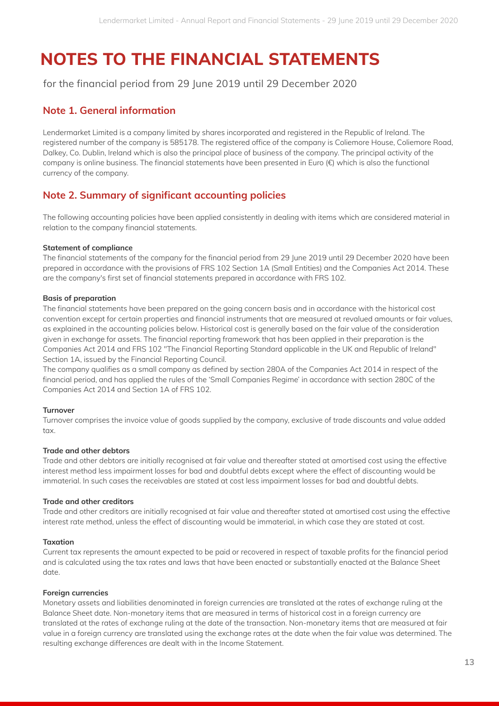for the financial period from 29 June 2019 until 29 December 2020

### **Note 1. General information**

Lendermarket Limited is a company limited by shares incorporated and registered in the Republic of Ireland. The registered number of the company is 585178. The registered office of the company is Coliemore House, Coliemore Road, Dalkey, Co. Dublin, Ireland which is also the principal place of business of the company. The principal activity of the company is online business. The financial statements have been presented in Euro (€) which is also the functional currency of the company.

### **Note 2. Summary of significant accounting policies**

The following accounting policies have been applied consistently in dealing with items which are considered material in relation to the company financial statements.

#### **Statement of compliance**

The financial statements of the company for the financial period from 29 June 2019 until 29 December 2020 have been prepared in accordance with the provisions of FRS 102 Section 1A (Small Entities) and the Companies Act 2014. These are the company's first set of financial statements prepared in accordance with FRS 102.

#### **Basis of preparation**

The financial statements have been prepared on the going concern basis and in accordance with the historical cost convention except for certain properties and financial instruments that are measured at revalued amounts or fair values, as explained in the accounting policies below. Historical cost is generally based on the fair value of the consideration given in exchange for assets. The financial reporting framework that has been applied in their preparation is the Companies Act 2014 and FRS 102 "The Financial Reporting Standard applicable in the UK and Republic of Ireland" Section 1A, issued by the Financial Reporting Council.

The company qualifies as a small company as defined by section 280A of the Companies Act 2014 in respect of the financial period, and has applied the rules of the 'Small Companies Regime' in accordance with section 280C of the Companies Act 2014 and Section 1A of FRS 102.

#### **Turnover**

Turnover comprises the invoice value of goods supplied by the company, exclusive of trade discounts and value added tax.

#### **Trade and other debtors**

Trade and other debtors are initially recognised at fair value and thereafter stated at amortised cost using the effective interest method less impairment losses for bad and doubtful debts except where the effect of discounting would be immaterial. In such cases the receivables are stated at cost less impairment losses for bad and doubtful debts.

#### **Trade and other creditors**

Trade and other creditors are initially recognised at fair value and thereafter stated at amortised cost using the effective interest rate method, unless the effect of discounting would be immaterial, in which case they are stated at cost.

#### **Taxation**

Current tax represents the amount expected to be paid or recovered in respect of taxable profits for the financial period and is calculated using the tax rates and laws that have been enacted or substantially enacted at the Balance Sheet date.

#### **Foreign currencies**

Monetary assets and liabilities denominated in foreign currencies are translated at the rates of exchange ruling at the Balance Sheet date. Non-monetary items that are measured in terms of historical cost in a foreign currency are translated at the rates of exchange ruling at the date of the transaction. Non-monetary items that are measured at fair value in a foreign currency are translated using the exchange rates at the date when the fair value was determined. The resulting exchange differences are dealt with in the Income Statement.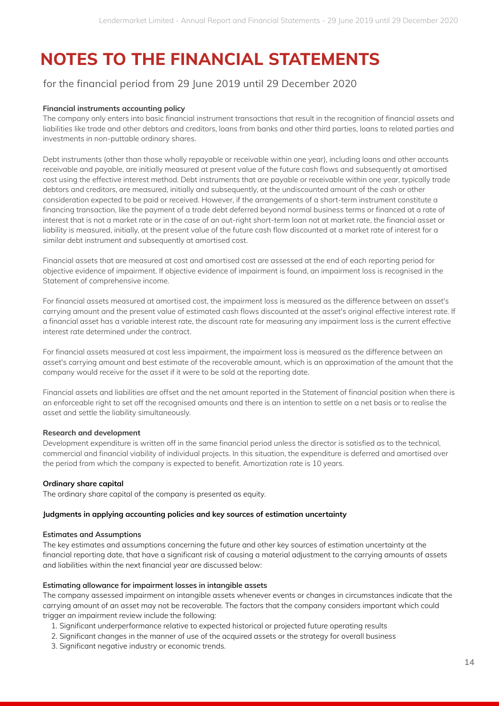### for the financial period from 29 June 2019 until 29 December 2020

#### **Financial instruments accounting policy**

The company only enters into basic financial instrument transactions that result in the recognition of financial assets and liabilities like trade and other debtors and creditors, loans from banks and other third parties, loans to related parties and investments in non-puttable ordinary shares.

Debt instruments (other than those wholly repayable or receivable within one year), including loans and other accounts receivable and payable, are initially measured at present value of the future cash flows and subsequently at amortised cost using the effective interest method. Debt instruments that are payable or receivable within one year, typically trade debtors and creditors, are measured, initially and subsequently, at the undiscounted amount of the cash or other consideration expected to be paid or received. However, if the arrangements of a short-term instrument constitute a financing transaction, like the payment of a trade debt deferred beyond normal business terms or financed at a rate of interest that is not a market rate or in the case of an out-right short-term loan not at market rate, the financial asset or liability is measured, initially, at the present value of the future cash flow discounted at a market rate of interest for a similar debt instrument and subsequently at amortised cost.

Financial assets that are measured at cost and amortised cost are assessed at the end of each reporting period for objective evidence of impairment. If objective evidence of impairment is found, an impairment loss is recognised in the Statement of comprehensive income.

For financial assets measured at amortised cost, the impairment loss is measured as the difference between an asset's carrying amount and the present value of estimated cash flows discounted at the asset's original effective interest rate. If a financial asset has a variable interest rate, the discount rate for measuring any impairment loss is the current effective interest rate determined under the contract.

For financial assets measured at cost less impairment, the impairment loss is measured as the difference between an asset's carrying amount and best estimate of the recoverable amount, which is an approximation of the amount that the company would receive for the asset if it were to be sold at the reporting date.

Financial assets and liabilities are offset and the net amount reported in the Statement of financial position when there is an enforceable right to set off the recognised amounts and there is an intention to settle on a net basis or to realise the asset and settle the liability simultaneously.

#### **Research and development**

Development expenditure is written off in the same financial period unless the director is satisfied as to the technical, commercial and financial viability of individual projects. In this situation, the expenditure is deferred and amortised over the period from which the company is expected to benefit. Amortization rate is 10 years.

#### **Ordinary share capital**

The ordinary share capital of the company is presented as equity.

#### **Judgments in applying accounting policies and key sources of estimation uncertainty**

#### **Estimates and Assumptions**

The key estimates and assumptions concerning the future and other key sources of estimation uncertainty at the financial reporting date, that have a significant risk of causing a material adjustment to the carrying amounts of assets and liabilities within the next financial year are discussed below:

#### **Estimating allowance for impairment losses in intangible assets**

The company assessed impairment on intangible assets whenever events or changes in circumstances indicate that the carrying amount of an asset may not be recoverable. The factors that the company considers important which could trigger an impairment review include the following:

- 1. Significant underperformance relative to expected historical or projected future operating results
- 2. Significant changes in the manner of use of the acquired assets or the strategy for overall business
- 3. Significant negative industry or economic trends.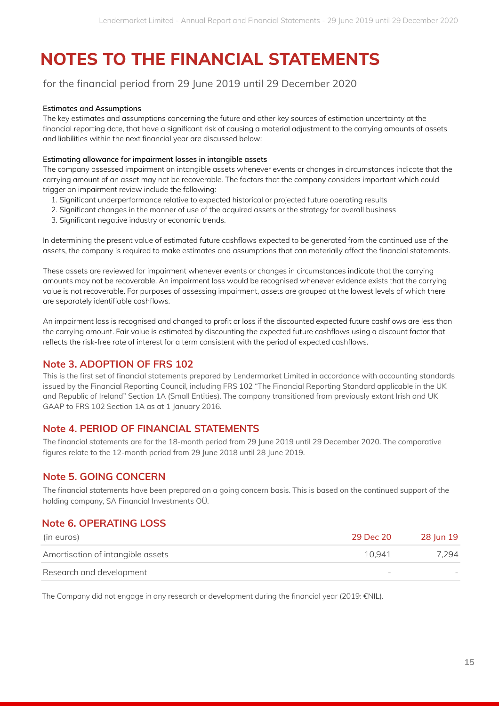### for the financial period from 29 June 2019 until 29 December 2020

#### **Estimates and Assumptions**

The key estimates and assumptions concerning the future and other key sources of estimation uncertainty at the financial reporting date, that have a significant risk of causing a material adjustment to the carrying amounts of assets and liabilities within the next financial year are discussed below:

#### **Estimating allowance for impairment losses in intangible assets**

The company assessed impairment on intangible assets whenever events or changes in circumstances indicate that the carrying amount of an asset may not be recoverable. The factors that the company considers important which could trigger an impairment review include the following:

- 1. Significant underperformance relative to expected historical or projected future operating results
- 2. Significant changes in the manner of use of the acquired assets or the strategy for overall business
- 3. Significant negative industry or economic trends.

In determining the present value of estimated future cashflows expected to be generated from the continued use of the assets, the company is required to make estimates and assumptions that can materially affect the financial statements.

These assets are reviewed for impairment whenever events or changes in circumstances indicate that the carrying amounts may not be recoverable. An impairment loss would be recognised whenever evidence exists that the carrying value is not recoverable. For purposes of assessing impairment, assets are grouped at the lowest levels of which there are separately identifiable cashflows.

An impairment loss is recognised and changed to profit or loss if the discounted expected future cashflows are less than the carrying amount. Fair value is estimated by discounting the expected future cashflows using a discount factor that reflects the risk-free rate of interest for a term consistent with the period of expected cashflows.

### **Note 3. ADOPTION OF FRS 102**

This is the first set of financial statements prepared by Lendermarket Limited in accordance with accounting standards issued by the Financial Reporting Council, including FRS 102 "The Financial Reporting Standard applicable in the UK and Republic of Ireland" Section 1A (Small Entities). The company transitioned from previously extant Irish and UK GAAP to FRS 102 Section 1A as at 1 January 2016.

### **Note 4. PERIOD OF FINANCIAL STATEMENTS**

The financial statements are for the 18-month period from 29 June 2019 until 29 December 2020. The comparative figures relate to the 12-month period from 29 June 2018 until 28 June 2019.

### **Note 5. GOING CONCERN**

The financial statements have been prepared on a going concern basis. This is based on the continued support of the holding company, SA Financial Investments OÜ.

### **Note 6. OPERATING LOSS**

| (in euros)                        | 29 Dec 20                | 28 Jun 19 |
|-----------------------------------|--------------------------|-----------|
| Amortisation of intangible assets | 10.941                   | 7.294     |
| Research and development          | $\overline{\phantom{0}}$ |           |

The Company did not engage in any research or development during the financial year (2019: €NIL).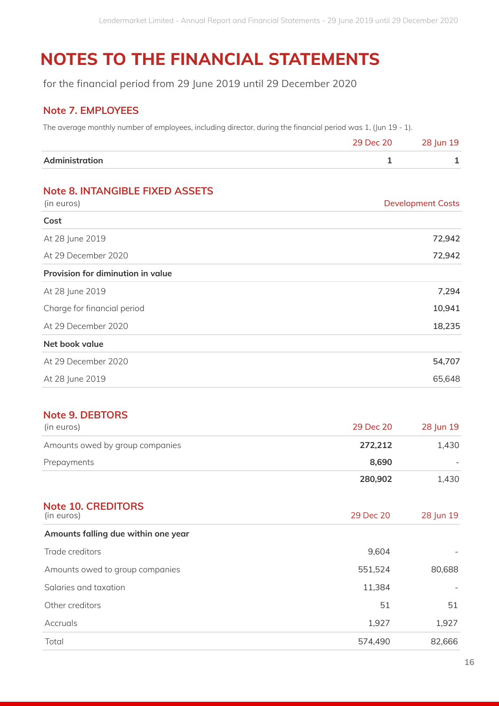for the financial period from 29 June 2019 until 29 December 2020

### **Note 7. EMPLOYEES**

The average monthly number of employees, including director, during the financial period was 1, (Jun 19 - 1).

| Administration |           |           |
|----------------|-----------|-----------|
|                | 29 Dec 20 | 28 Jun 19 |

## **Note 8. INTANGIBLE FIXED ASSETS**

| (in euros)<br><b>Development Costs</b> |        |
|----------------------------------------|--------|
| Cost                                   |        |
| At 28 June 2019                        | 72,942 |
| At 29 December 2020                    | 72,942 |
| Provision for diminution in value      |        |
| At 28 June 2019                        | 7,294  |
| Charge for financial period            | 10,941 |
| At 29 December 2020                    | 18,235 |
| Net book value                         |        |
| At 29 December 2020                    | 54,707 |
| At 28 June 2019                        | 65,648 |

### **Note 9. DEBTORS**

| (in euros)                      | 29 Dec 20 | 28 Jun 19 |
|---------------------------------|-----------|-----------|
| Amounts owed by group companies | 272.212   | 1.430     |
| Prepayments                     | 8.690     |           |
|                                 | 280,902   | 1.430     |

| <b>Note 10. CREDITORS</b><br>(in euros) | 29 Dec 20 | 28 Jun 19 |
|-----------------------------------------|-----------|-----------|
| Amounts falling due within one year     |           |           |
| Trade creditors                         | 9,604     |           |
| Amounts owed to group companies         | 551,524   | 80,688    |
| Salaries and taxation                   | 11,384    |           |
| Other creditors                         | 51        | 51        |
| Accruals                                | 1,927     | 1,927     |
| Total                                   | 574,490   | 82,666    |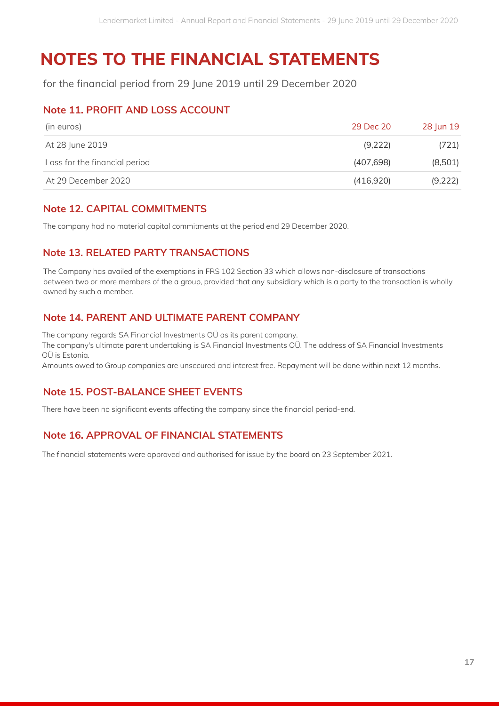for the financial period from 29 June 2019 until 29 December 2020

### **Note 11. PROFIT AND LOSS ACCOUNT**

| (in euros)                    | 29 Dec 20  | 28 Jun 19 |
|-------------------------------|------------|-----------|
| At 28 June 2019               | (9,222)    | (721)     |
| Loss for the financial period | (407, 698) | (8,501)   |
| At 29 December 2020           | (416,920)  | (9,222)   |

### **Note 12. CAPITAL COMMITMENTS**

The company had no material capital commitments at the period end 29 December 2020.

### **Note 13. RELATED PARTY TRANSACTIONS**

The Company has availed of the exemptions in FRS 102 Section 33 which allows non-disclosure of transactions between two or more members of the a group, provided that any subsidiary which is a party to the transaction is wholly owned by such a member.

## **Note 14. PARENT AND ULTIMATE PARENT COMPANY**

The company regards SA Financial Investments OÜ as its parent company.

The company's ultimate parent undertaking is SA Financial Investments OÜ. The address of SA Financial Investments OÜ is Estonia.

Amounts owed to Group companies are unsecured and interest free. Repayment will be done within next 12 months.

## **Note 15. POST-BALANCE SHEET EVENTS**

There have been no significant events affecting the company since the financial period-end.

## **Note 16. APPROVAL OF FINANCIAL STATEMENTS**

The financial statements were approved and authorised for issue by the board on 23 September 2021.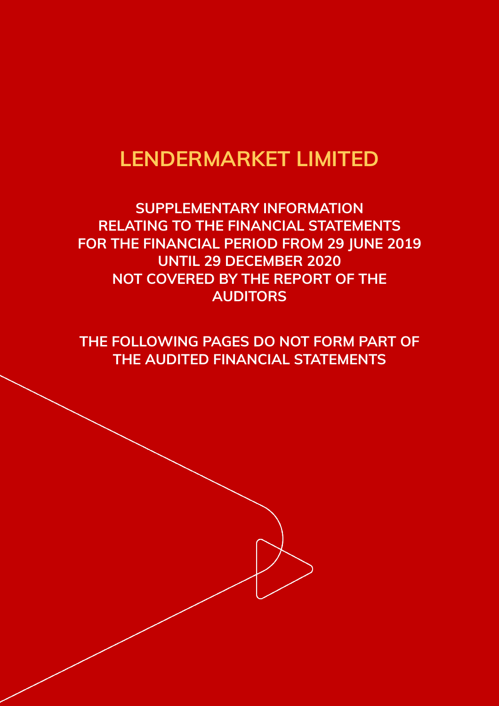## **LENDERMARKET LIMITED**

**SUPPLEMENTARY INFORMATION RELATING TO THE FINANCIAL STATEMENTS FOR THE FINANCIAL PERIOD FROM 29 JUNE 2019 UNTIL 29 DECEMBER 2020 NOT COVERED BY THE REPORT OF THE AUDITORS**

**THE FOLLOWING PAGES DO NOT FORM PART OF THE AUDITED FINANCIAL STATEMENTS**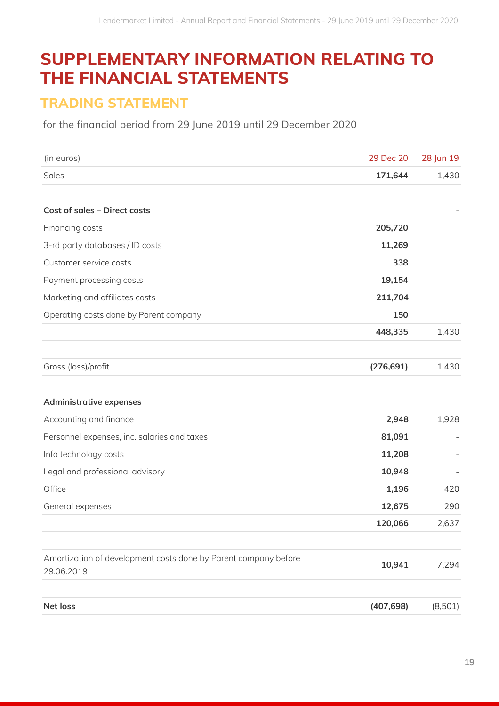## **SUPPLEMENTARY INFORMATION RELATING TO THE FINANCIAL STATEMENTS**

## **TRADING STATEMENT**

for the financial period from 29 June 2019 until 29 December 2020

| (in euros)                                                                    | 29 Dec 20  | 28 Jun 19 |
|-------------------------------------------------------------------------------|------------|-----------|
| Sales                                                                         | 171,644    | 1,430     |
|                                                                               |            |           |
| <b>Cost of sales - Direct costs</b>                                           |            |           |
| Financing costs                                                               | 205,720    |           |
| 3-rd party databases / ID costs                                               | 11,269     |           |
| Customer service costs                                                        | 338        |           |
| Payment processing costs                                                      | 19,154     |           |
| Marketing and affiliates costs                                                | 211,704    |           |
| Operating costs done by Parent company                                        | 150        |           |
|                                                                               | 448,335    | 1,430     |
|                                                                               |            |           |
| Gross (loss)/profit                                                           | (276, 691) | 1.430     |
|                                                                               |            |           |
| <b>Administrative expenses</b>                                                |            |           |
| Accounting and finance                                                        | 2,948      | 1,928     |
| Personnel expenses, inc. salaries and taxes                                   | 81,091     |           |
| Info technology costs                                                         | 11,208     |           |
| Legal and professional advisory                                               | 10,948     |           |
| Office                                                                        | 1,196      | 420       |
| General expenses                                                              | 12,675     | 290       |
|                                                                               | 120,066    | 2,637     |
|                                                                               |            |           |
| Amortization of development costs done by Parent company before<br>29.06.2019 | 10,941     | 7,294     |
| Net loss                                                                      | (407, 698) | (8,501)   |